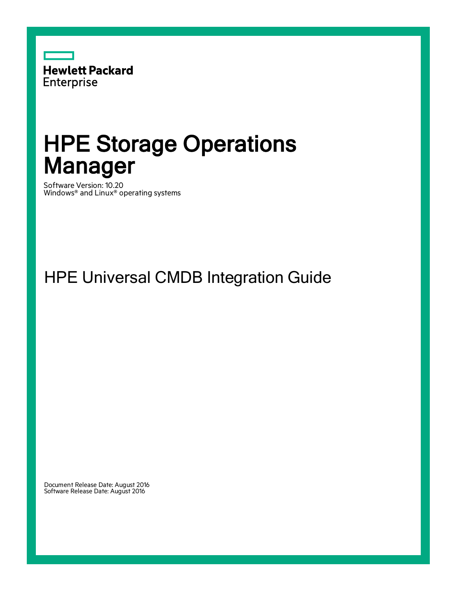

# HPE Storage Operations Manager

Software Version: 10.20 Windows® and Linux® operating systems

HPE Universal CMDB Integration Guide

Document Release Date: August 2016 Software Release Date: August 2016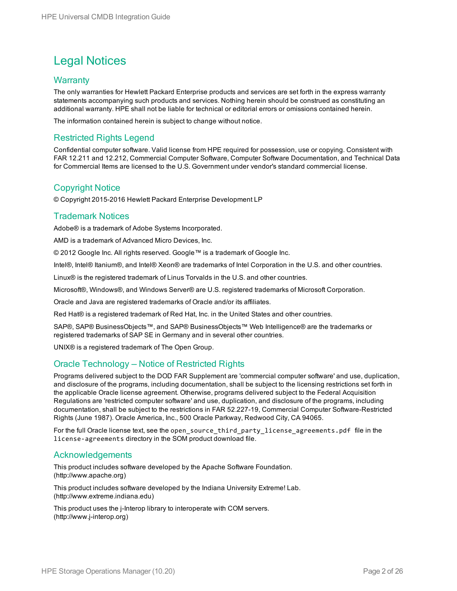#### Legal Notices

#### **Warranty**

The only warranties for Hewlett Packard Enterprise products and services are set forth in the express warranty statements accompanying such products and services. Nothing herein should be construed as constituting an additional warranty. HPE shall not be liable for technical or editorial errors or omissions contained herein.

The information contained herein is subject to change without notice.

#### Restricted Rights Legend

Confidential computer software. Valid license from HPE required for possession, use or copying. Consistent with FAR 12.211 and 12.212, Commercial Computer Software, Computer Software Documentation, and Technical Data for Commercial Items are licensed to the U.S. Government under vendor's standard commercial license.

#### Copyright Notice

© Copyright 2015-2016 Hewlett Packard Enterprise Development LP

#### Trademark Notices

Adobe® is a trademark of Adobe Systems Incorporated.

AMD is a trademark of Advanced Micro Devices, Inc.

© 2012 Google Inc. All rights reserved. Google™ is a trademark of Google Inc.

Intel®, Intel® Itanium®, and Intel® Xeon® are trademarks of Intel Corporation in the U.S. and other countries.

Linux® is the registered trademark of Linus Torvalds in the U.S. and other countries.

Microsoft®, Windows®, and Windows Server® are U.S. registered trademarks of Microsoft Corporation.

Oracle and Java are registered trademarks of Oracle and/or its affiliates.

Red Hat® is a registered trademark of Red Hat, Inc. in the United States and other countries.

SAP®, SAP® BusinessObjects™, and SAP® BusinessObjects™ Web Intelligence® are the trademarks or registered trademarks of SAP SE in Germany and in several other countries.

UNIX® is a registered trademark of The Open Group.

#### Oracle Technology — Notice of Restricted Rights

Programs delivered subject to the DOD FAR Supplement are 'commercial computer software' and use, duplication, and disclosure of the programs, including documentation, shall be subject to the licensing restrictions set forth in the applicable Oracle license agreement. Otherwise, programs delivered subject to the Federal Acquisition Regulations are 'restricted computer software' and use, duplication, and disclosure of the programs, including documentation, shall be subject to the restrictions in FAR 52.227-19, Commercial Computer Software-Restricted Rights (June 1987). Oracle America, Inc., 500 Oracle Parkway, Redwood City, CA 94065.

For the full Oracle license text, see the open\_source\_third\_party\_license\_agreements.pdf file in the license-agreements directory in the SOM product download file.

#### Acknowledgements

This product includes software developed by the Apache Software Foundation. (http://www.apache.org)

This product includes software developed by the Indiana University Extreme! Lab. (http://www.extreme.indiana.edu)

This product uses the j-Interop library to interoperate with COM servers. (http://www.j-interop.org)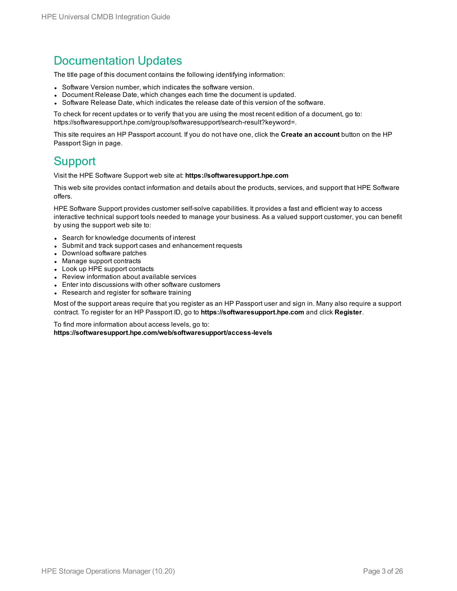#### Documentation Updates

The title page of this document contains the following identifying information:

- Software Version number, which indicates the software version.
- Document Release Date, which changes each time the document is updated.
- <sup>l</sup> Software Release Date, which indicates the release date of this version of the software.

To check for recent updates or to verify that you are using the most recent edition of a document, go to: https://softwaresupport.hpe.com/group/softwaresupport/search-result?keyword=.

This site requires an HP Passport account. If you do not have one, click the **Create an account** button on the HP Passport Sign in page.

#### **Support**

Visit the HPE Software Support web site at: **https://softwaresupport.hpe.com**

This web site provides contact information and details about the products, services, and support that HPE Software offers.

HPE Software Support provides customer self-solve capabilities. It provides a fast and efficient way to access interactive technical support tools needed to manage your business. As a valued support customer, you can benefit by using the support web site to:

- Search for knowledge documents of interest
- Submit and track support cases and enhancement requests
- Download software patches
- Manage support contracts
- Look up HPE support contacts
- Review information about available services
- Enter into discussions with other software customers
- Research and register for software training

Most of the support areas require that you register as an HP Passport user and sign in. Many also require a support contract. To register for an HP Passport ID, go to **https://softwaresupport.hpe.com** and click **Register**.

To find more information about access levels, go to: **https://softwaresupport.hpe.com/web/softwaresupport/access-levels**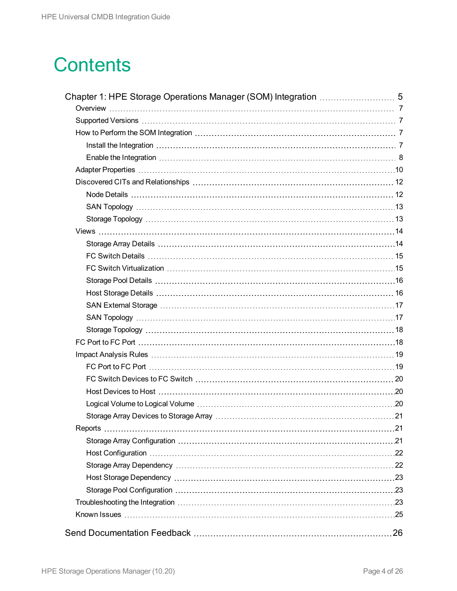## **Contents**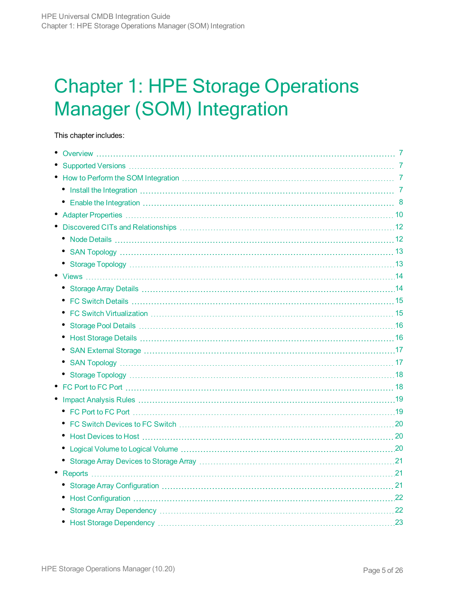# <span id="page-4-0"></span>Chapter 1: HPE Storage Operations Manager (SOM) Integration

This chapter includes:

| $\bullet$ |  |
|-----------|--|
|           |  |
|           |  |
|           |  |
|           |  |
|           |  |
|           |  |
|           |  |
|           |  |
|           |  |
|           |  |
|           |  |
|           |  |
| ٠         |  |
|           |  |
|           |  |
|           |  |
|           |  |
|           |  |
|           |  |
|           |  |
|           |  |
|           |  |
|           |  |
|           |  |
|           |  |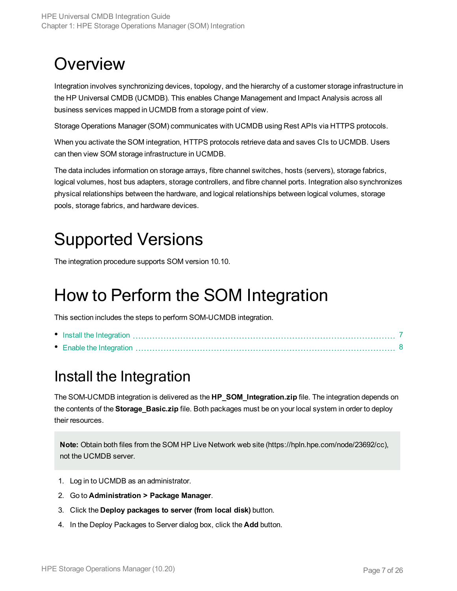## <span id="page-6-0"></span>**Overview**

Integration involves synchronizing devices, topology, and the hierarchy of a customer storage infrastructure in the HP Universal CMDB (UCMDB). This enables Change Management and Impact Analysis across all business services mapped in UCMDB from a storage point of view.

Storage Operations Manager (SOM) communicates with UCMDB using Rest APIs via HTTPS protocols.

When you activate the SOM integration, HTTPS protocols retrieve data and saves CIs to UCMDB. Users can then view SOM storage infrastructure in UCMDB.

The data includes information on storage arrays, fibre channel switches, hosts (servers), storage fabrics, logical volumes, host bus adapters, storage controllers, and fibre channel ports. Integration also synchronizes physical relationships between the hardware, and logical relationships between logical volumes, storage pools, storage fabrics, and hardware devices.

## <span id="page-6-1"></span>Supported Versions

<span id="page-6-2"></span>The integration procedure supports SOM version 10.10.

## How to Perform the SOM Integration

This section includes the steps to perform SOM-UCMDB integration.

#### <span id="page-6-3"></span>Install the Integration

The SOM-UCMDB integration is delivered as the **HP\_SOM\_Integration.zip** file. The integration depends on the contents of the **Storage\_Basic.zip** file. Both packages must be on your local system in order to deploy their resources.

**Note:** Obtain both files from the SOM HP Live Network web site (https://hpln.hpe.com/node/23692/cc), not the UCMDB server.

- 1. Log in to UCMDB as an administrator.
- 2. Go to **Administration > Package Manager**.
- 3. Click the **Deploy packages to server (from local disk)** button.
- 4. In the Deploy Packages to Server dialog box, click the **Add** button.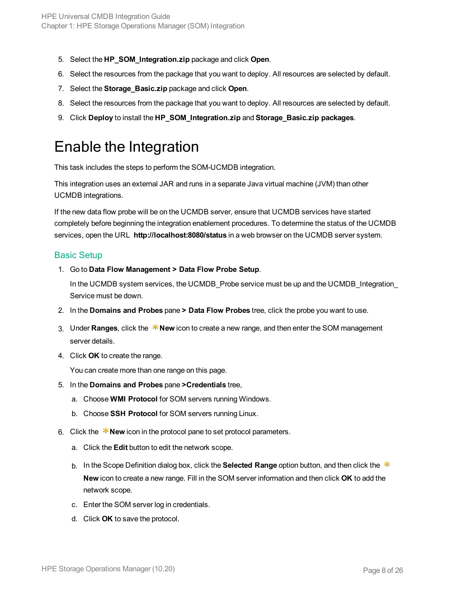- 5. Select the **HP\_SOM\_Integration.zip** package and click **Open**.
- 6. Select the resources from the package that you want to deploy. All resources are selected by default.
- 7. Select the **Storage\_Basic.zip** package and click **Open**.
- 8. Select the resources from the package that you want to deploy. All resources are selected by default.
- <span id="page-7-0"></span>9. Click **Deploy** to install the **HP\_SOM\_Integration.zip** and **Storage\_Basic.zip packages**.

#### Enable the Integration

This task includes the steps to perform the SOM-UCMDB integration.

This integration uses an external JAR and runs in a separate Java virtual machine (JVM) than other UCMDB integrations.

If the new data flow probe will be on the UCMDB server, ensure that UCMDB services have started completely before beginning the integration enablement procedures. To determine the status of the UCMDB services, open the URL **http://localhost:8080/status** in a web browser on the UCMDB server system.

#### Basic Setup

1. Go to **Data Flow Management > Data Flow Probe Setup**.

In the UCMDB system services, the UCMDB Probe service must be up and the UCMDB Integration Service must be down.

- 2. In the **Domains and Probes** pane **> Data Flow Probes** tree, click the probe you want to use.
- 3. Under **Ranges**, click the **New** icon to create a new range, and then enter the SOM management server details.
- 4. Click **OK** to create the range.

You can create more than one range on this page.

- 5. In the **Domains and Probes** pane **>Credentials** tree,
	- a. Choose **WMI Protocol** for SOM servers running Windows.
	- b. Choose **SSH Protocol** for SOM servers running Linux.
- 6. Click the  $*$ **New** icon in the protocol pane to set protocol parameters.
	- a. Click the **Edit** button to edit the network scope.
	- b. In the Scope Definition dialog box, click the **Selected Range** option button, and then click the **New** icon to create a new range. Fill in the SOM server information and then click **OK** to add the network scope.
	- c. Enter the SOM server log in credentials.
	- d. Click **OK** to save the protocol.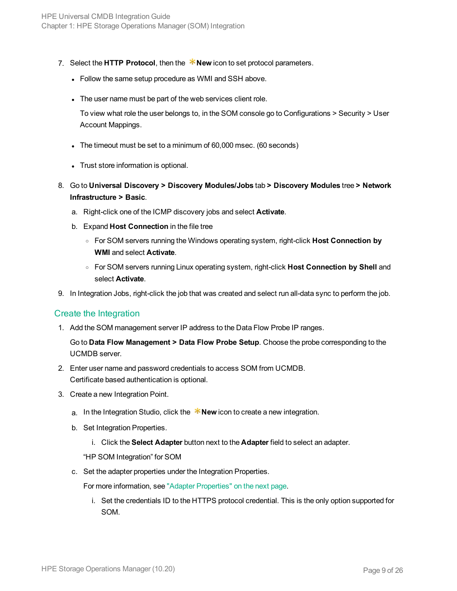- 7. Select the **HTTP Protocol**, then the **\*New** icon to set protocol parameters.
	- Follow the same setup procedure as WMI and SSH above.
	- The user name must be part of the web services client role.

To view what role the user belongs to, in the SOM console go to Configurations > Security > User Account Mappings.

- The timeout must be set to a minimum of 60,000 msec. (60 seconds)
- Trust store information is optional.
- 8. Go to **Universal Discovery > Discovery Modules/Jobs** tab **> Discovery Modules** tree **> Network Infrastructure > Basic**.
	- a. Right-click one of the ICMP discovery jobs and select **Activate**.
	- b. Expand **Host Connection** in the file tree
		- <sup>o</sup> For SOM servers running the Windows operating system, right-click **Host Connection by WMI** and select **Activate**.
		- <sup>o</sup> For SOM servers running Linux operating system, right-click **Host Connection by Shell** and select **Activate**.
- 9. In Integration Jobs, right-click the job that was created and select run all-data sync to perform the job.

#### Create the Integration

1. Add the SOM management server IP address to the Data Flow Probe IP ranges.

Go to **Data Flow Management > Data Flow Probe Setup**. Choose the probe corresponding to the UCMDB server.

- 2. Enter user name and password credentials to access SOM from UCMDB. Certificate based authentication is optional.
- 3. Create a new Integration Point.
	- a. In the Integration Studio, click the  $*$ New icon to create a new integration.
	- b. Set Integration Properties.
		- i. Click the **Select Adapter** button next to the **Adapter** field to select an adapter.

"HP SOM Integration" for SOM

c. Set the adapter properties under the Integration Properties.

For more information, see "Adapter [Properties"](#page-9-0) on the next page.

i. Set the credentials ID to the HTTPS protocol credential. This is the only option supported for SOM.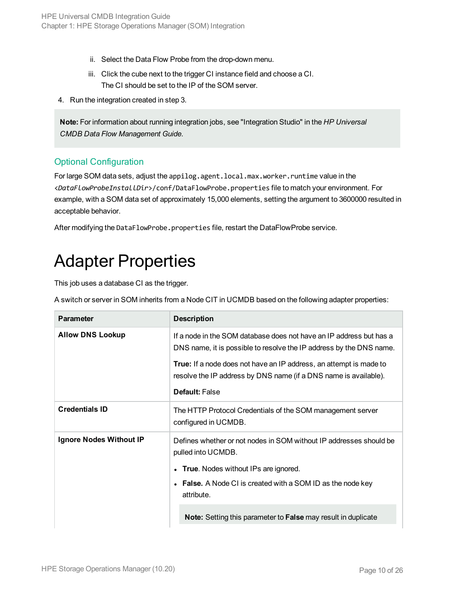- ii. Select the Data Flow Probe from the drop-down menu.
- iii. Click the cube next to the trigger CI instance field and choose a CI. The CI should be set to the IP of the SOM server.
- 4. Run the integration created in step 3.

**Note:** For information about running integration jobs, see "Integration Studio" in the *HP Universal CMDB Data Flow Management Guide*.

#### Optional Configuration

For large SOM data sets, adjust the appilog.agent.local.max.worker.runtime value in the <*DataFlowProbeInstallDir*>/conf/DataFlowProbe.properties file to match your environment. For example, with a SOM data set of approximately 15,000 elements, setting the argument to 3600000 resulted in acceptable behavior.

<span id="page-9-0"></span>After modifying the DataFlowProbe.properties file, restart the DataFlowProbe service.

### Adapter Properties

This job uses a database CI as the trigger.

A switch or server in SOM inherits from a Node CIT in UCMDB based on the following adapter properties:

| <b>Parameter</b>        | <b>Description</b>                                                                                                                                                                                                                                                                                            |
|-------------------------|---------------------------------------------------------------------------------------------------------------------------------------------------------------------------------------------------------------------------------------------------------------------------------------------------------------|
| <b>Allow DNS Lookup</b> | If a node in the SOM database does not have an IP address but has a<br>DNS name, it is possible to resolve the IP address by the DNS name.<br><b>True:</b> If a node does not have an IP address, an attempt is made to<br>resolve the IP address by DNS name (if a DNS name is available).<br>Default: False |
| <b>Credentials ID</b>   | The HTTP Protocol Credentials of the SOM management server<br>configured in UCMDB.                                                                                                                                                                                                                            |
| Ignore Nodes Without IP | Defines whether or not nodes in SOM without IP addresses should be<br>pulled into UCMDB.<br>• True. Nodes without IPs are ignored.<br>• False. A Node CI is created with a SOM ID as the node key<br>attribute.                                                                                               |
|                         | <b>Note:</b> Setting this parameter to <b>False</b> may result in duplicate                                                                                                                                                                                                                                   |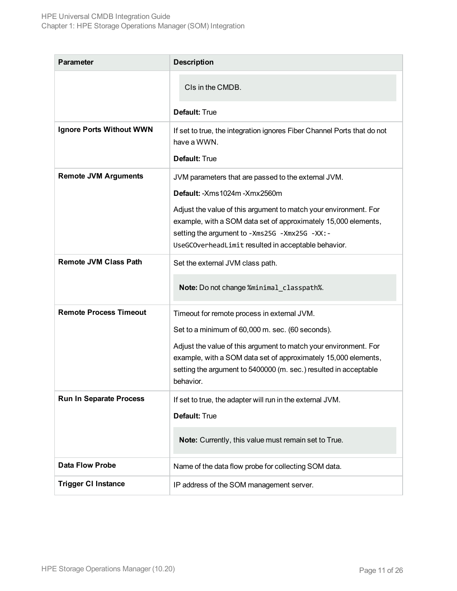| <b>Parameter</b>                | <b>Description</b>                                                                                                                                                                                                                          |  |
|---------------------------------|---------------------------------------------------------------------------------------------------------------------------------------------------------------------------------------------------------------------------------------------|--|
|                                 | CIs in the CMDB.                                                                                                                                                                                                                            |  |
|                                 | <b>Default: True</b>                                                                                                                                                                                                                        |  |
| <b>Ignore Ports Without WWN</b> | If set to true, the integration ignores Fiber Channel Ports that do not<br>have a WWN.<br><b>Default: True</b>                                                                                                                              |  |
| <b>Remote JVM Arguments</b>     | JVM parameters that are passed to the external JVM.<br>Default: - Xms 1024m - Xmx 2560m                                                                                                                                                     |  |
|                                 | Adjust the value of this argument to match your environment. For<br>example, with a SOM data set of approximately 15,000 elements,<br>setting the argument to -Xms25G -Xmx25G -XX: -<br>UseGCOverheadLimit resulted in acceptable behavior. |  |
| <b>Remote JVM Class Path</b>    | Set the external JVM class path.                                                                                                                                                                                                            |  |
|                                 | Note: Do not change %minimal_classpath%.                                                                                                                                                                                                    |  |
| <b>Remote Process Timeout</b>   | Timeout for remote process in external JVM.                                                                                                                                                                                                 |  |
|                                 | Set to a minimum of 60,000 m. sec. (60 seconds).                                                                                                                                                                                            |  |
|                                 | Adjust the value of this argument to match your environment. For<br>example, with a SOM data set of approximately 15,000 elements,<br>setting the argument to 5400000 (m. sec.) resulted in acceptable<br>behavior.                         |  |
| <b>Run In Separate Process</b>  | If set to true, the adapter will run in the external JVM.                                                                                                                                                                                   |  |
|                                 | Default: True                                                                                                                                                                                                                               |  |
|                                 | Note: Currently, this value must remain set to True.                                                                                                                                                                                        |  |
| <b>Data Flow Probe</b>          | Name of the data flow probe for collecting SOM data.                                                                                                                                                                                        |  |
| <b>Trigger CI Instance</b>      | IP address of the SOM management server.                                                                                                                                                                                                    |  |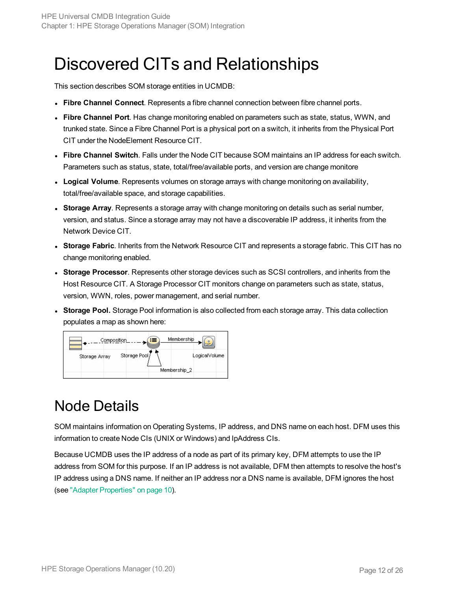## <span id="page-11-0"></span>Discovered CITs and Relationships

This section describes SOM storage entities in UCMDB:

- <sup>l</sup> **Fibre Channel Connect**. Represents a fibre channel connection between fibre channel ports.
- <sup>l</sup> **Fibre Channel Port**. Has change monitoring enabled on parameters such as state, status, WWN, and trunked state. Since a Fibre Channel Port is a physical port on a switch, it inherits from the Physical Port CIT under the NodeElement Resource CIT.
- <sup>l</sup> **Fibre Channel Switch**. Falls under the Node CIT because SOM maintains an IP address for each switch. Parameters such as status, state, total/free/available ports, and version are change monitore
- **Logical Volume**. Represents volumes on storage arrays with change monitoring on availability, total/free/available space, and storage capabilities.
- **Storage Array**. Represents a storage array with change monitoring on details such as serial number, version, and status. Since a storage array may not have a discoverable IP address, it inherits from the Network Device CIT.
- <sup>l</sup> **Storage Fabric**. Inherits from the Network Resource CIT and represents a storage fabric. This CIT has no change monitoring enabled.
- **Storage Processor**. Represents other storage devices such as SCSI controllers, and inherits from the Host Resource CIT. A Storage Processor CIT monitors change on parameters such as state, status, version, WWN, roles, power management, and serial number.
- **Storage Pool.** Storage Pool information is also collected from each storage array. This data collection populates a map as shown here:



#### <span id="page-11-1"></span>Node Details

SOM maintains information on Operating Systems, IP address, and DNS name on each host. DFM uses this information to create Node CIs (UNIX or Windows) and IpAddress CIs.

Because UCMDB uses the IP address of a node as part of its primary key, DFM attempts to use the IP address from SOM for this purpose. If an IP address is not available, DFM then attempts to resolve the host's IP address using a DNS name. If neither an IP address nor a DNS name is available, DFM ignores the host (see "Adapter [Properties"](#page-9-0) on page 10).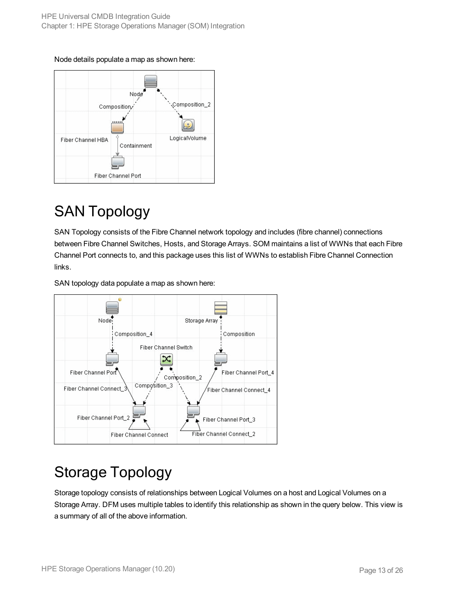



### <span id="page-12-0"></span>SAN Topology

SAN Topology consists of the Fibre Channel network topology and includes (fibre channel) connections between Fibre Channel Switches, Hosts, and Storage Arrays. SOM maintains a list of WWNs that each Fibre Channel Port connects to, and this package uses this list of WWNs to establish Fibre Channel Connection links.

SAN topology data populate a map as shown here:



### <span id="page-12-1"></span>Storage Topology

Storage topology consists of relationships between Logical Volumes on a host and Logical Volumes on a Storage Array. DFM uses multiple tables to identify this relationship as shown in the query below. This view is a summary of all of the above information.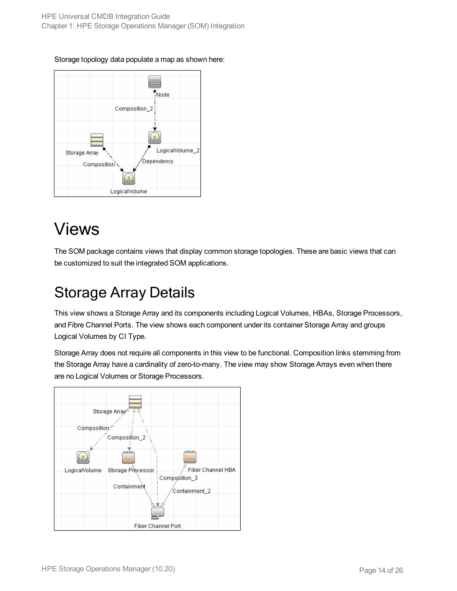#### Storage topology data populate a map as shown here:



## <span id="page-13-0"></span>Views

The SOM package contains views that display common storage topologies. These are basic views that can be customized to suit the integrated SOM applications.

### <span id="page-13-1"></span>Storage Array Details

This view shows a Storage Array and its components including Logical Volumes, HBAs, Storage Processors, and Fibre Channel Ports. The view shows each component under its container Storage Array and groups Logical Volumes by CI Type.

Storage Array does not require all components in this view to be functional. Composition links stemming from the Storage Array have a cardinality of zero-to-many. The view may show Storage Arrays even when there are no Logical Volumes or Storage Processors.

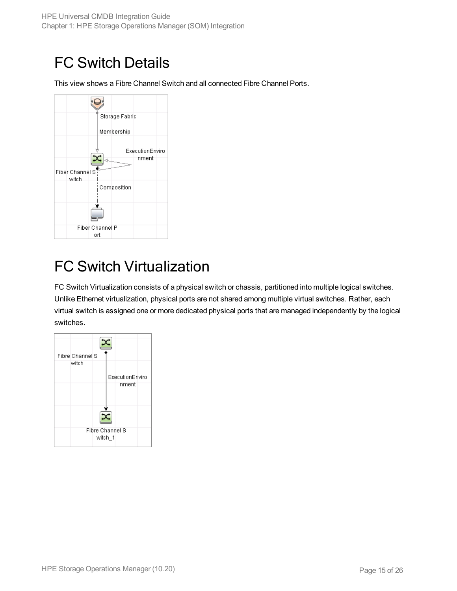### <span id="page-14-0"></span>FC Switch Details

This view shows a Fibre Channel Switch and all connected Fibre Channel Ports.



### <span id="page-14-1"></span>FC Switch Virtualization

FC Switch Virtualization consists of a physical switch or chassis, partitioned into multiple logical switches. Unlike Ethernet virtualization, physical ports are not shared among multiple virtual switches. Rather, each virtual switch is assigned one or more dedicated physical ports that are managed independently by the logical switches.

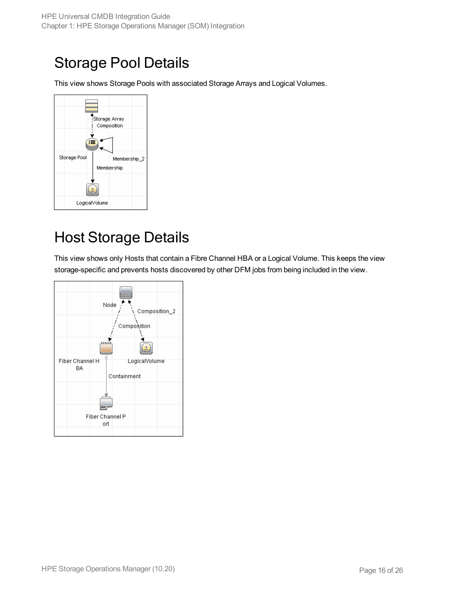#### <span id="page-15-0"></span>Storage Pool Details

This view shows Storage Pools with associated Storage Arrays and Logical Volumes.



### <span id="page-15-1"></span>Host Storage Details

This view shows only Hosts that contain a Fibre Channel HBA or a Logical Volume. This keeps the view storage-specific and prevents hosts discovered by other DFM jobs from being included in the view.

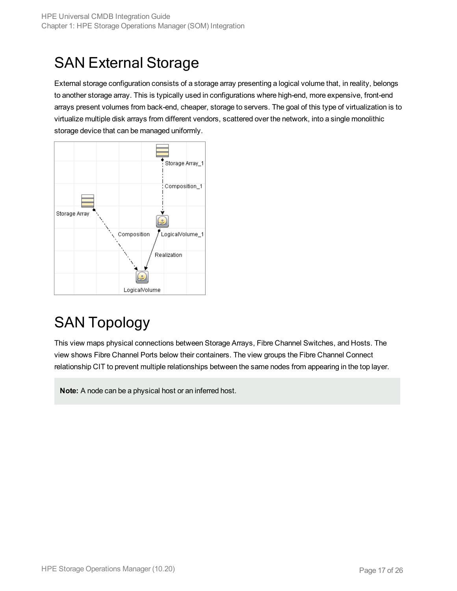### <span id="page-16-0"></span>SAN External Storage

External storage configuration consists of a storage array presenting a logical volume that, in reality, belongs to another storage array. This is typically used in configurations where high-end, more expensive, front-end arrays present volumes from back-end, cheaper, storage to servers. The goal of this type of virtualization is to virtualize multiple disk arrays from different vendors, scattered over the network, into a single monolithic storage device that can be managed uniformly.



### <span id="page-16-1"></span>SAN Topology

This view maps physical connections between Storage Arrays, Fibre Channel Switches, and Hosts. The view shows Fibre Channel Ports below their containers. The view groups the Fibre Channel Connect relationship CIT to prevent multiple relationships between the same nodes from appearing in the top layer.

**Note:** A node can be a physical host or an inferred host.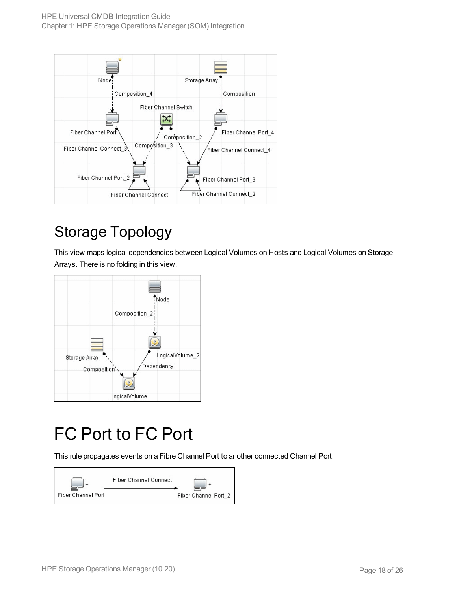

## <span id="page-17-0"></span>Storage Topology

This view maps logical dependencies between Logical Volumes on Hosts and Logical Volumes on Storage Arrays. There is no folding in this view.



## <span id="page-17-1"></span>FC Port to FC Port

This rule propagates events on a Fibre Channel Port to another connected Channel Port.

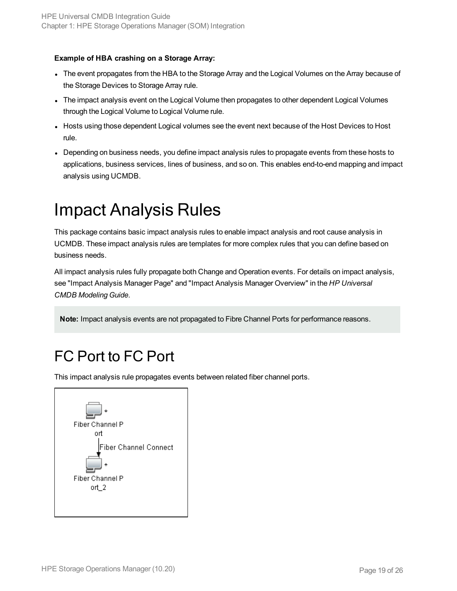#### **Example of HBA crashing on a Storage Array:**

- The event propagates from the HBA to the Storage Array and the Logical Volumes on the Array because of the Storage Devices to Storage Array rule.
- The impact analysis event on the Logical Volume then propagates to other dependent Logical Volumes through the Logical Volume to Logical Volume rule.
- Hosts using those dependent Logical volumes see the event next because of the Host Devices to Host rule.
- Depending on business needs, you define impact analysis rules to propagate events from these hosts to applications, business services, lines of business, and so on. This enables end-to-end mapping and impact analysis using UCMDB.

## <span id="page-18-0"></span>Impact Analysis Rules

This package contains basic impact analysis rules to enable impact analysis and root cause analysis in UCMDB. These impact analysis rules are templates for more complex rules that you can define based on business needs.

All impact analysis rules fully propagate both Change and Operation events. For details on impact analysis, see "Impact Analysis Manager Page" and "Impact Analysis Manager Overview" in the *HP Universal CMDB Modeling Guide*.

<span id="page-18-1"></span>**Note:** Impact analysis events are not propagated to Fibre Channel Ports for performance reasons.

### FC Port to FC Port

This impact analysis rule propagates events between related fiber channel ports.

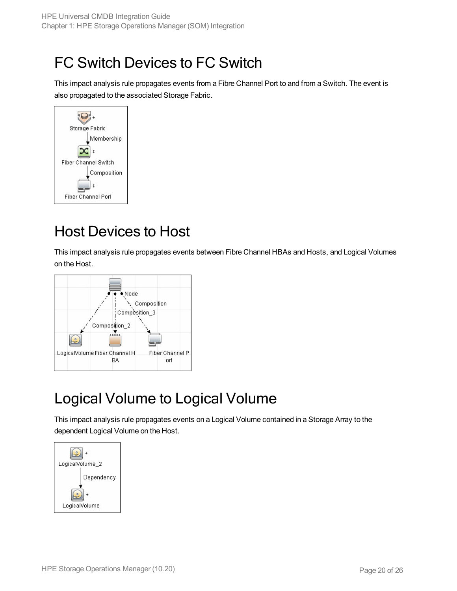### <span id="page-19-0"></span>FC Switch Devices to FC Switch

This impact analysis rule propagates events from a Fibre Channel Port to and from a Switch. The event is also propagated to the associated Storage Fabric.



### <span id="page-19-1"></span>Host Devices to Host

This impact analysis rule propagates events between Fibre Channel HBAs and Hosts, and Logical Volumes on the Host.



### <span id="page-19-2"></span>Logical Volume to Logical Volume

This impact analysis rule propagates events on a Logical Volume contained in a Storage Array to the dependent Logical Volume on the Host.

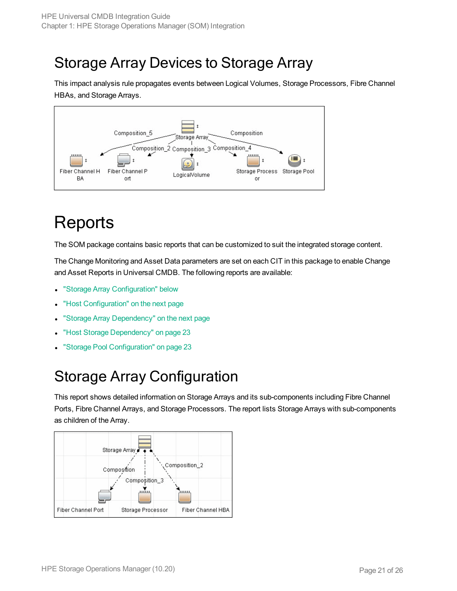#### <span id="page-20-0"></span>Storage Array Devices to Storage Array

This impact analysis rule propagates events between Logical Volumes, Storage Processors, Fibre Channel HBAs, and Storage Arrays.



## <span id="page-20-1"></span>**Reports**

The SOM package contains basic reports that can be customized to suit the integrated storage content.

The Change Monitoring and Asset Data parameters are set on each CIT in this package to enable Change and Asset Reports in Universal CMDB. The following reports are available:

- **.** "Storage Array [Configuration"](#page-20-2) below
- "Host [Configuration"](#page-21-0) on the next page
- "Storage Array [Dependency"](#page-21-1) on the next page
- "Host Storage [Dependency"](#page-22-0) on page 23
- <span id="page-20-2"></span>"Storage Pool [Configuration"](#page-22-1) on page 23

#### Storage Array Configuration

This report shows detailed information on Storage Arrays and its sub-components including Fibre Channel Ports, Fibre Channel Arrays, and Storage Processors. The report lists Storage Arrays with sub-components as children of the Array.

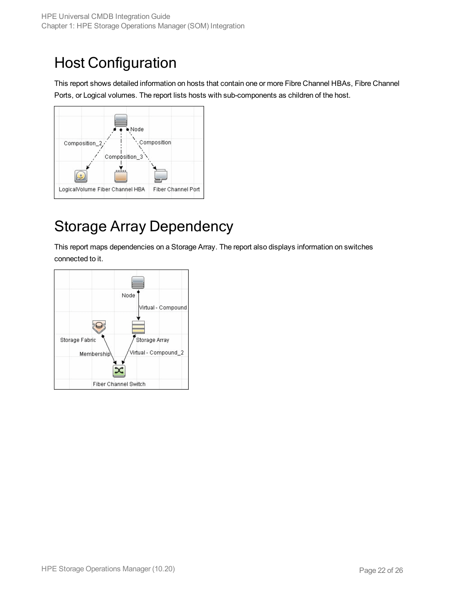### <span id="page-21-0"></span>Host Configuration

This report shows detailed information on hosts that contain one or more Fibre Channel HBAs, Fibre Channel Ports, or Logical volumes. The report lists hosts with sub-components as children of the host.



#### <span id="page-21-1"></span>Storage Array Dependency

This report maps dependencies on a Storage Array. The report also displays information on switches connected to it.

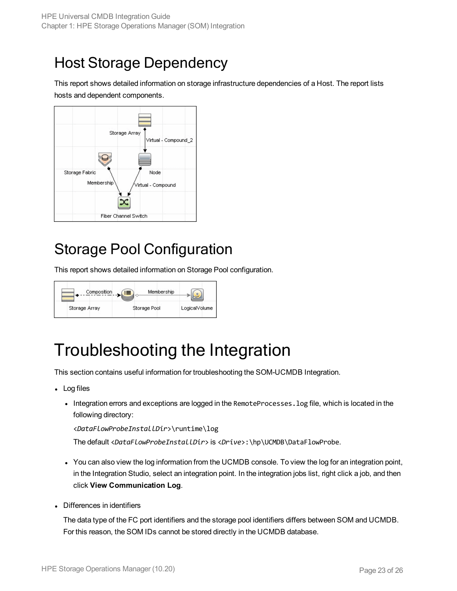#### <span id="page-22-0"></span>Host Storage Dependency

This report shows detailed information on storage infrastructure dependencies of a Host. The report lists hosts and dependent components.



#### <span id="page-22-1"></span>Storage Pool Configuration

This report shows detailed information on Storage Pool configuration.

| Composition   | Membership   |               |
|---------------|--------------|---------------|
| Storage Array | Storage Pool | LogicalVolume |

## <span id="page-22-2"></span>Troubleshooting the Integration

This section contains useful information for troubleshooting the SOM-UCMDB Integration.

- Log files
	- Integration errors and exceptions are logged in the RemoteProcesses. log file, which is located in the following directory:

<*DataFlowProbeInstallDir*>\runtime\log

The default <*DataFlowProbeInstallDir*> is <*Drive*>:\hp\UCMDB\DataFlowProbe.

- You can also view the log information from the UCMDB console. To view the log for an integration point, in the Integration Studio, select an integration point. In the integration jobs list, right click a job, and then click **View Communication Log**.
- Differences in identifiers

The data type of the FC port identifiers and the storage pool identifiers differs between SOM and UCMDB. For this reason, the SOM IDs cannot be stored directly in the UCMDB database.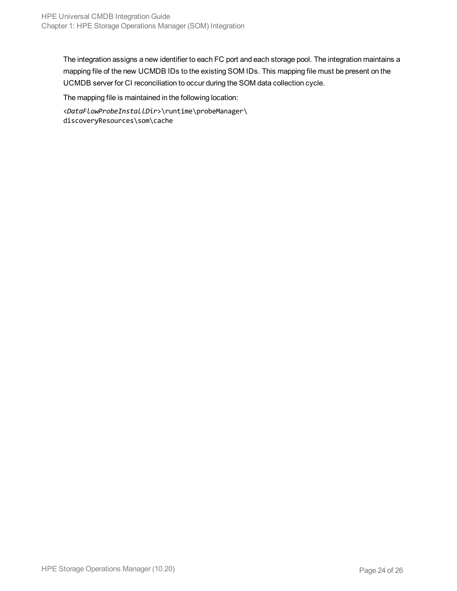The integration assigns a new identifier to each FC port and each storage pool. The integration maintains a mapping file of the new UCMDB IDs to the existing SOM IDs. This mapping file must be present on the UCMDB server for CI reconciliation to occur during the SOM data collection cycle.

The mapping file is maintained in the following location:

<*DataFlowProbeInstallDir*>\runtime\probeManager\ discoveryResources\som\cache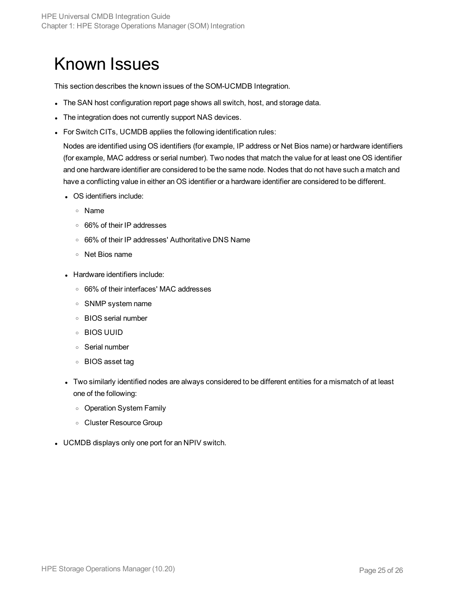## <span id="page-24-0"></span>Known Issues

This section describes the known issues of the SOM-UCMDB Integration.

- The SAN host configuration report page shows all switch, host, and storage data.
- The integration does not currently support NAS devices.
- For Switch CITs, UCMDB applies the following identification rules:

Nodes are identified using OS identifiers (for example, IP address or Net Bios name) or hardware identifiers (for example, MAC address or serial number). Two nodes that match the value for at least one OS identifier and one hardware identifier are considered to be the same node. Nodes that do not have such a match and have a conflicting value in either an OS identifier or a hardware identifier are considered to be different.

- OS identifiers include:
	- <sup>o</sup> Name
	- <sup>o</sup> 66% of their IP addresses
	- <sup>o</sup> 66% of their IP addresses' Authoritative DNS Name
	- <sup>o</sup> Net Bios name
- Hardware identifiers include:
	- <sup>o</sup> 66% of their interfaces' MAC addresses
	- <sup>o</sup> SNMP system name
	- <sup>o</sup> BIOS serial number
	- <sup>o</sup> BIOS UUID
	- <sup>o</sup> Serial number
	- <sup>o</sup> BIOS asset tag
- Two similarly identified nodes are always considered to be different entities for a mismatch of at least one of the following:
	- <sup>o</sup> Operation System Family
	- <sup>o</sup> Cluster Resource Group
- UCMDB displays only one port for an NPIV switch.